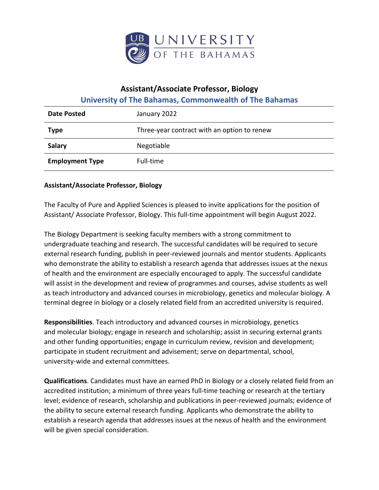

## **Assistant/Associate Professor, Biology**

**University of The Bahamas, Commonwealth of The Bahamas** 

| Date Posted            | January 2022                                |
|------------------------|---------------------------------------------|
| <b>Type</b>            | Three-year contract with an option to renew |
| <b>Salary</b>          | Negotiable                                  |
| <b>Employment Type</b> | Full-time                                   |

## **Assistant/Associate Professor, Biology**

The Faculty of Pure and Applied Sciences is pleased to invite applications for the position of Assistant/ Associate Professor, Biology. This full-time appointment will begin August 2022.

The Biology Department is seeking faculty members with a strong commitment to undergraduate teaching and research. The successful candidates will be required to secure external research funding, publish in peer-reviewed journals and mentor students. Applicants who demonstrate the ability to establish a research agenda that addresses issues at the nexus of health and the environment are especially encouraged to apply. The successful candidate will assist in the development and review of programmes and courses, advise students as well as teach introductory and advanced courses in microbiology, genetics and molecular biology. A terminal degree in biology or a closely related field from an accredited university is required.

**Responsibilities**. Teach introductory and advanced courses in microbiology, genetics and molecular biology; engage in research and scholarship; assist in securing external grants and other funding opportunities; engage in curriculum review, revision and development; participate in student recruitment and advisement; serve on departmental, school, university-wide and external committees.

**Qualifications**. Candidates must have an earned PhD in Biology or a closely related field from an accredited institution; a minimum of three years full-time teaching or research at the tertiary level; evidence of research, scholarship and publications in peer-reviewed journals; evidence of the ability to secure external research funding. Applicants who demonstrate the ability to establish a research agenda that addresses issues at the nexus of health and the environment will be given special consideration.